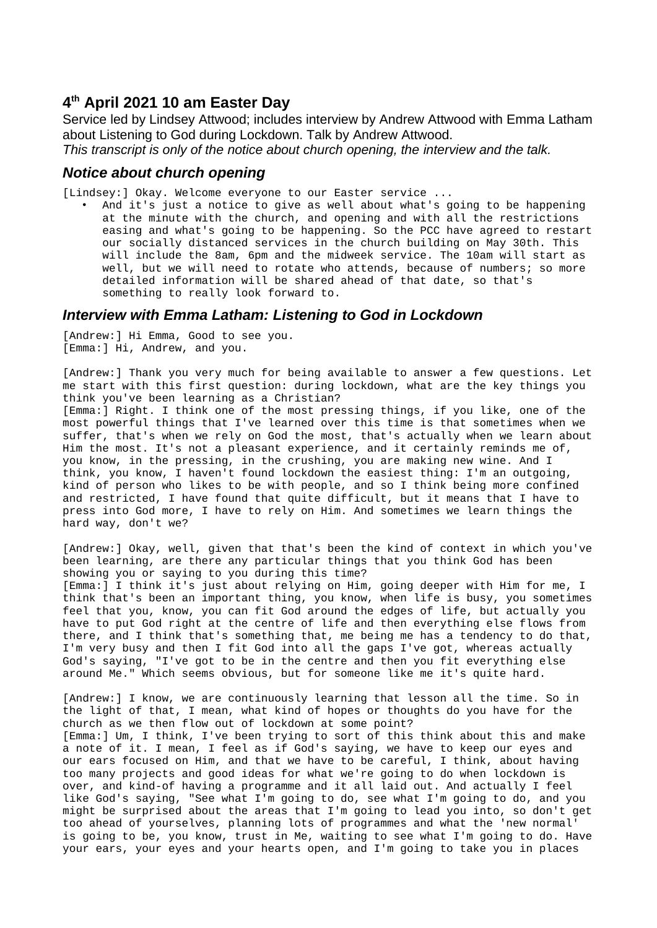# **4 th April 2021 10 am Easter Day**

Service led by Lindsey Attwood; includes interview by Andrew Attwood with Emma Latham about Listening to God during Lockdown. Talk by Andrew Attwood.

*This transcript is only of the notice about church opening, the interview and the talk.*

### *Notice about church opening*

[Lindsey:] Okay. Welcome everyone to our Easter service ...

• And it's just a notice to give as well about what's going to be happening at the minute with the church, and opening and with all the restrictions easing and what's going to be happening. So the PCC have agreed to restart our socially distanced services in the church building on May 30th. This will include the 8am, 6pm and the midweek service. The 10am will start as well, but we will need to rotate who attends, because of numbers; so more detailed information will be shared ahead of that date, so that's something to really look forward to.

### *Interview with Emma Latham: Listening to God in Lockdown*

[Andrew:] Hi Emma, Good to see you. [Emma:] Hi, Andrew, and you.

[Andrew:] Thank you very much for being available to answer a few questions. Let me start with this first question: during lockdown, what are the key things you think you've been learning as a Christian?

[Emma:] Right. I think one of the most pressing things, if you like, one of the most powerful things that I've learned over this time is that sometimes when we suffer, that's when we rely on God the most, that's actually when we learn about Him the most. It's not a pleasant experience, and it certainly reminds me of, you know, in the pressing, in the crushing, you are making new wine. And I think, you know, I haven't found lockdown the easiest thing: I'm an outgoing, kind of person who likes to be with people, and so I think being more confined and restricted, I have found that quite difficult, but it means that I have to press into God more, I have to rely on Him. And sometimes we learn things the hard way, don't we?

[Andrew:] Okay, well, given that that's been the kind of context in which you've been learning, are there any particular things that you think God has been showing you or saying to you during this time? [Emma:] I think it's just about relying on Him, going deeper with Him for me, I think that's been an important thing, you know, when life is busy, you sometimes feel that you, know, you can fit God around the edges of life, but actually you have to put God right at the centre of life and then everything else flows from there, and I think that's something that, me being me has a tendency to do that, I'm very busy and then I fit God into all the gaps I've got, whereas actually God's saying, "I've got to be in the centre and then you fit everything else around Me." Which seems obvious, but for someone like me it's quite hard.

[Andrew:] I know, we are continuously learning that lesson all the time. So in the light of that, I mean, what kind of hopes or thoughts do you have for the church as we then flow out of lockdown at some point? [Emma:] Um, I think, I've been trying to sort of this think about this and make a note of it. I mean, I feel as if God's saying, we have to keep our eyes and our ears focused on Him, and that we have to be careful, I think, about having too many projects and good ideas for what we're going to do when lockdown is over, and kind-of having a programme and it all laid out. And actually I feel like God's saying, "See what I'm going to do, see what I'm going to do, and you might be surprised about the areas that I'm going to lead you into, so don't get too ahead of yourselves, planning lots of programmes and what the 'new normal' is going to be, you know, trust in Me, waiting to see what I'm going to do. Have your ears, your eyes and your hearts open, and I'm going to take you in places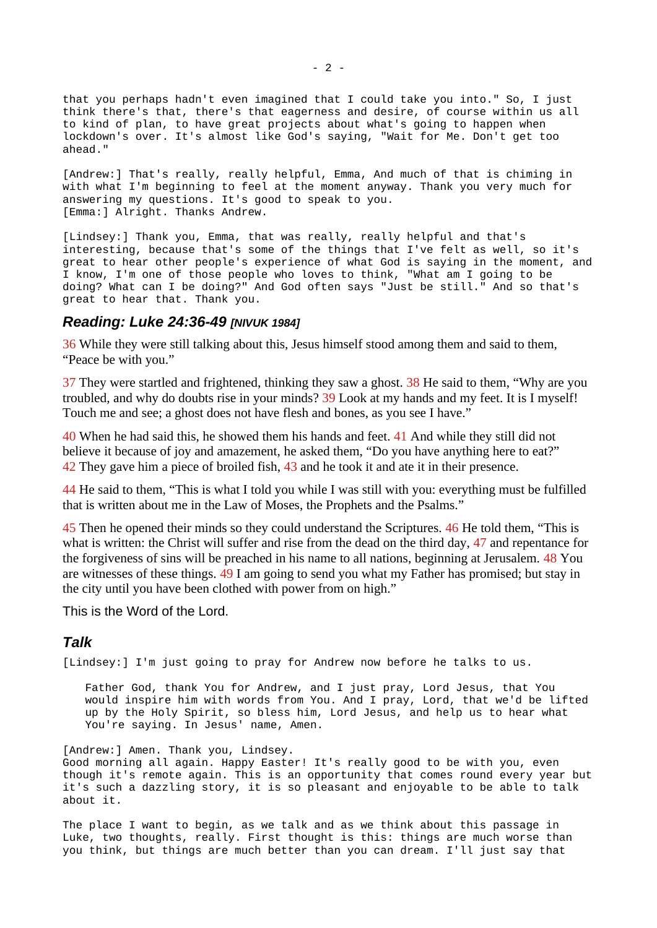that you perhaps hadn't even imagined that I could take you into." So, I just think there's that, there's that eagerness and desire, of course within us all to kind of plan, to have great projects about what's going to happen when lockdown's over. It's almost like God's saying, "Wait for Me. Don't get too ahead."

[Andrew:] That's really, really helpful, Emma, And much of that is chiming in with what I'm beginning to feel at the moment anyway. Thank you very much for answering my questions. It's good to speak to you. [Emma:] Alright. Thanks Andrew.

[Lindsey:] Thank you, Emma, that was really, really helpful and that's interesting, because that's some of the things that I've felt as well, so it's great to hear other people's experience of what God is saying in the moment, and I know, I'm one of those people who loves to think, "What am I going to be doing? What can I be doing?" And God often says "Just be still." And so that's great to hear that. Thank you.

#### *Reading: Luke 24:36-49 [NIVUK 1984]*

36 While they were still talking about this, Jesus himself stood among them and said to them, "Peace be with you."

37 They were startled and frightened, thinking they saw a ghost. 38 He said to them, "Why are you troubled, and why do doubts rise in your minds? 39 Look at my hands and my feet. It is I myself! Touch me and see; a ghost does not have flesh and bones, as you see I have."

40 When he had said this, he showed them his hands and feet. 41 And while they still did not believe it because of joy and amazement, he asked them, "Do you have anything here to eat?" 42 They gave him a piece of broiled fish, 43 and he took it and ate it in their presence.

44 He said to them, "This is what I told you while I was still with you: everything must be fulfilled that is written about me in the Law of Moses, the Prophets and the Psalms."

45 Then he opened their minds so they could understand the Scriptures. 46 He told them, "This is what is written: the Christ will suffer and rise from the dead on the third day, 47 and repentance for the forgiveness of sins will be preached in his name to all nations, beginning at Jerusalem. 48 You are witnesses of these things. 49 I am going to send you what my Father has promised; but stay in the city until you have been clothed with power from on high."

This is the Word of the Lord.

## *Talk*

[Lindsey:] I'm just going to pray for Andrew now before he talks to us.

Father God, thank You for Andrew, and I just pray, Lord Jesus, that You would inspire him with words from You. And I pray, Lord, that we'd be lifted up by the Holy Spirit, so bless him, Lord Jesus, and help us to hear what You're saying. In Jesus' name, Amen.

[Andrew:] Amen. Thank you, Lindsey. Good morning all again. Happy Easter! It's really good to be with you, even though it's remote again. This is an opportunity that comes round every year but it's such a dazzling story, it is so pleasant and enjoyable to be able to talk about it.

The place I want to begin, as we talk and as we think about this passage in Luke, two thoughts, really. First thought is this: things are much worse than you think, but things are much better than you can dream. I'll just say that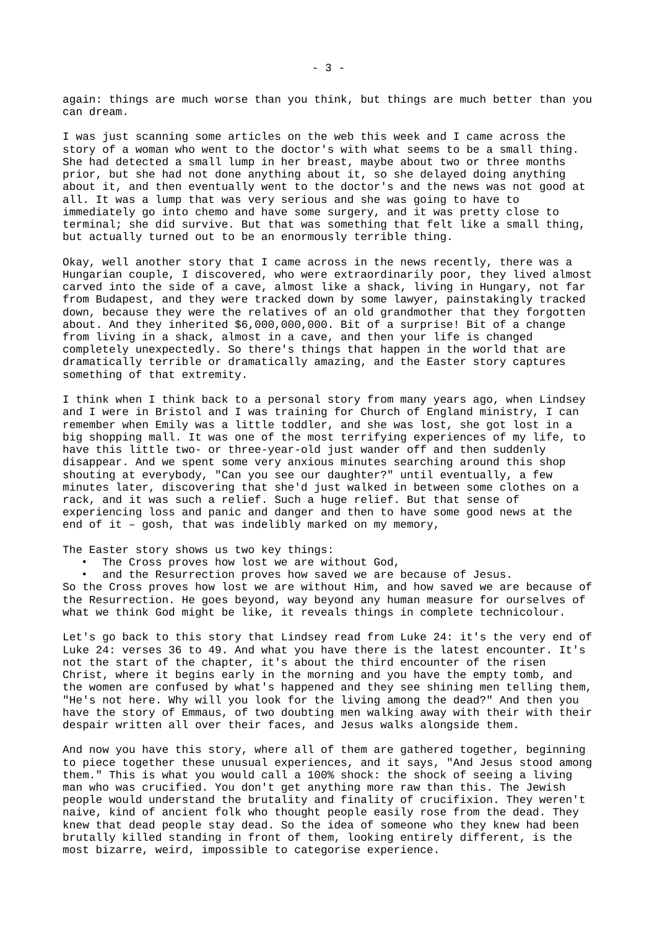again: things are much worse than you think, but things are much better than you can dream.

I was just scanning some articles on the web this week and I came across the story of a woman who went to the doctor's with what seems to be a small thing. She had detected a small lump in her breast, maybe about two or three months prior, but she had not done anything about it, so she delayed doing anything about it, and then eventually went to the doctor's and the news was not good at all. It was a lump that was very serious and she was going to have to immediately go into chemo and have some surgery, and it was pretty close to terminal; she did survive. But that was something that felt like a small thing, but actually turned out to be an enormously terrible thing.

Okay, well another story that I came across in the news recently, there was a Hungarian couple, I discovered, who were extraordinarily poor, they lived almost carved into the side of a cave, almost like a shack, living in Hungary, not far from Budapest, and they were tracked down by some lawyer, painstakingly tracked down, because they were the relatives of an old grandmother that they forgotten about. And they inherited \$6,000,000,000. Bit of a surprise! Bit of a change from living in a shack, almost in a cave, and then your life is changed completely unexpectedly. So there's things that happen in the world that are dramatically terrible or dramatically amazing, and the Easter story captures something of that extremity.

I think when I think back to a personal story from many years ago, when Lindsey and I were in Bristol and I was training for Church of England ministry, I can remember when Emily was a little toddler, and she was lost, she got lost in a big shopping mall. It was one of the most terrifying experiences of my life, to have this little two- or three-year-old just wander off and then suddenly disappear. And we spent some very anxious minutes searching around this shop shouting at everybody, "Can you see our daughter?" until eventually, a few minutes later, discovering that she'd just walked in between some clothes on a rack, and it was such a relief. Such a huge relief. But that sense of experiencing loss and panic and danger and then to have some good news at the end of it – gosh, that was indelibly marked on my memory,

The Easter story shows us two key things:

- The Cross proves how lost we are without God,
- and the Resurrection proves how saved we are because of Jesus.

So the Cross proves how lost we are without Him, and how saved we are because of the Resurrection. He goes beyond, way beyond any human measure for ourselves of what we think God might be like, it reveals things in complete technicolour.

Let's go back to this story that Lindsey read from Luke 24: it's the very end of Luke 24: verses 36 to 49. And what you have there is the latest encounter. It's not the start of the chapter, it's about the third encounter of the risen Christ, where it begins early in the morning and you have the empty tomb, and the women are confused by what's happened and they see shining men telling them, "He's not here. Why will you look for the living among the dead?" And then you have the story of Emmaus, of two doubting men walking away with their with their despair written all over their faces, and Jesus walks alongside them.

And now you have this story, where all of them are gathered together, beginning to piece together these unusual experiences, and it says, "And Jesus stood among them." This is what you would call a 100% shock: the shock of seeing a living man who was crucified. You don't get anything more raw than this. The Jewish people would understand the brutality and finality of crucifixion. They weren't naive, kind of ancient folk who thought people easily rose from the dead. They knew that dead people stay dead. So the idea of someone who they knew had been brutally killed standing in front of them, looking entirely different, is the most bizarre, weird, impossible to categorise experience.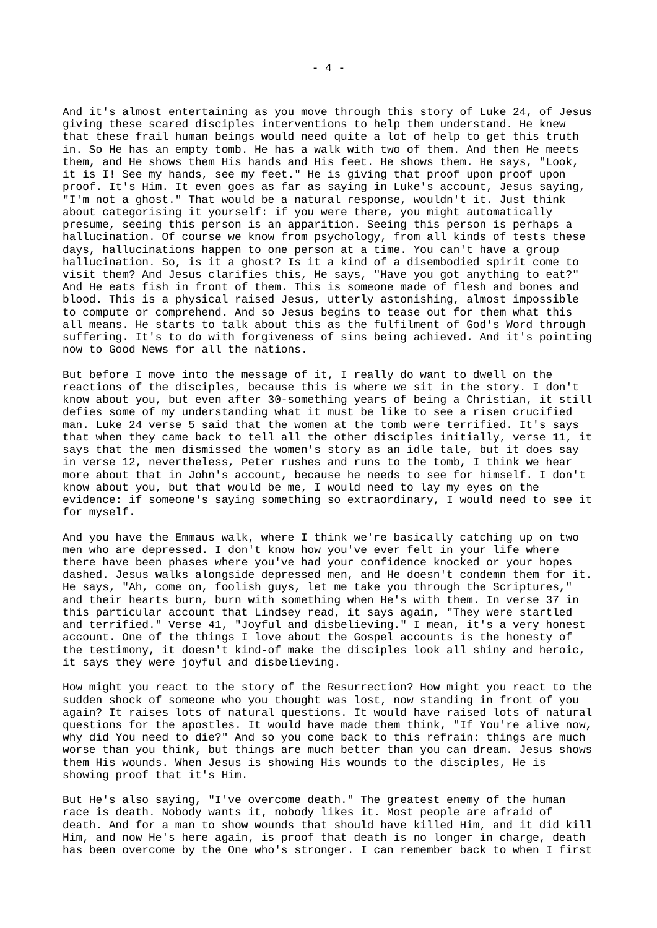And it's almost entertaining as you move through this story of Luke 24, of Jesus giving these scared disciples interventions to help them understand. He knew that these frail human beings would need quite a lot of help to get this truth in. So He has an empty tomb. He has a walk with two of them. And then He meets them, and He shows them His hands and His feet. He shows them. He says, "Look, it is I! See my hands, see my feet." He is giving that proof upon proof upon proof. It's Him. It even goes as far as saying in Luke's account, Jesus saying, "I'm not a ghost." That would be a natural response, wouldn't it. Just think about categorising it yourself: if you were there, you might automatically presume, seeing this person is an apparition. Seeing this person is perhaps a hallucination. Of course we know from psychology, from all kinds of tests these days, hallucinations happen to one person at a time. You can't have a group hallucination. So, is it a ghost? Is it a kind of a disembodied spirit come to visit them? And Jesus clarifies this, He says, "Have you got anything to eat?" And He eats fish in front of them. This is someone made of flesh and bones and blood. This is a physical raised Jesus, utterly astonishing, almost impossible to compute or comprehend. And so Jesus begins to tease out for them what this all means. He starts to talk about this as the fulfilment of God's Word through suffering. It's to do with forgiveness of sins being achieved. And it's pointing now to Good News for all the nations.

But before I move into the message of it, I really do want to dwell on the reactions of the disciples, because this is where *we* sit in the story. I don't know about you, but even after 30-something years of being a Christian, it still defies some of my understanding what it must be like to see a risen crucified man. Luke 24 verse 5 said that the women at the tomb were terrified. It's says that when they came back to tell all the other disciples initially, verse 11, it says that the men dismissed the women's story as an idle tale, but it does say in verse 12, nevertheless, Peter rushes and runs to the tomb, I think we hear more about that in John's account, because he needs to see for himself. I don't know about you, but that would be me, I would need to lay my eyes on the evidence: if someone's saying something so extraordinary, I would need to see it for myself.

And you have the Emmaus walk, where I think we're basically catching up on two men who are depressed. I don't know how you've ever felt in your life where there have been phases where you've had your confidence knocked or your hopes dashed. Jesus walks alongside depressed men, and He doesn't condemn them for it. He says, "Ah, come on, foolish guys, let me take you through the Scriptures," and their hearts burn, burn with something when He's with them. In verse 37 in this particular account that Lindsey read, it says again, "They were startled and terrified." Verse 41, "Joyful and disbelieving." I mean, it's a very honest account. One of the things I love about the Gospel accounts is the honesty of the testimony, it doesn't kind-of make the disciples look all shiny and heroic, it says they were joyful and disbelieving.

How might you react to the story of the Resurrection? How might you react to the sudden shock of someone who you thought was lost, now standing in front of you again? It raises lots of natural questions. It would have raised lots of natural questions for the apostles. It would have made them think, "If You're alive now, why did You need to die?" And so you come back to this refrain: things are much worse than you think, but things are much better than you can dream. Jesus shows them His wounds. When Jesus is showing His wounds to the disciples, He is showing proof that it's Him.

But He's also saying, "I've overcome death." The greatest enemy of the human race is death. Nobody wants it, nobody likes it. Most people are afraid of death. And for a man to show wounds that should have killed Him, and it did kill Him, and now He's here again, is proof that death is no longer in charge, death has been overcome by the One who's stronger. I can remember back to when I first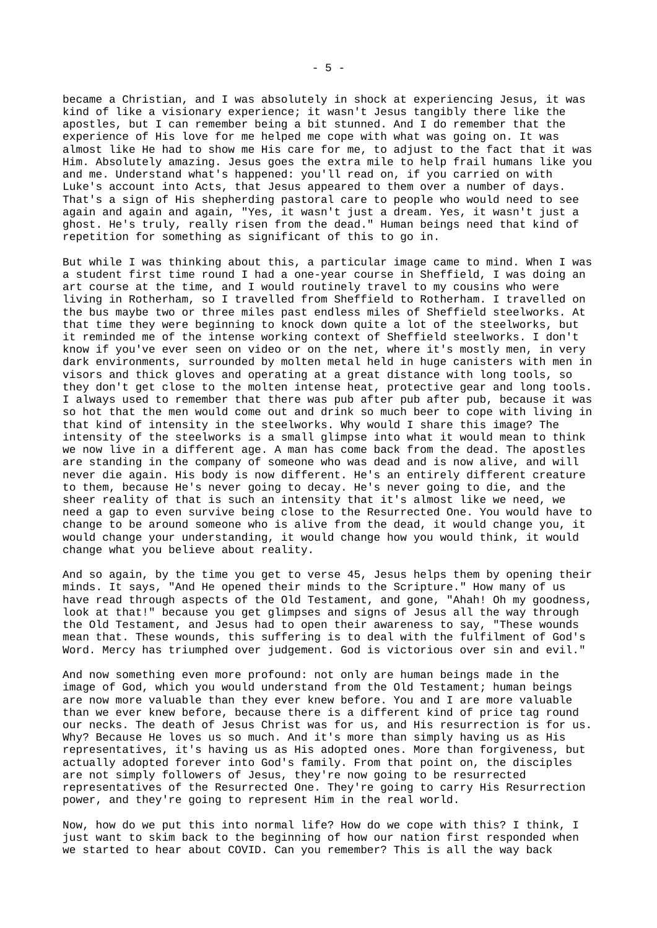became a Christian, and I was absolutely in shock at experiencing Jesus, it was kind of like a visionary experience; it wasn't Jesus tangibly there like the apostles, but I can remember being a bit stunned. And I do remember that the experience of His love for me helped me cope with what was going on. It was almost like He had to show me His care for me, to adjust to the fact that it was Him. Absolutely amazing. Jesus goes the extra mile to help frail humans like you and me. Understand what's happened: you'll read on, if you carried on with Luke's account into Acts, that Jesus appeared to them over a number of days. That's a sign of His shepherding pastoral care to people who would need to see again and again and again, "Yes, it wasn't just a dream. Yes, it wasn't just a ghost. He's truly, really risen from the dead." Human beings need that kind of repetition for something as significant of this to go in.

But while I was thinking about this, a particular image came to mind. When I was a student first time round I had a one-year course in Sheffield, I was doing an art course at the time, and I would routinely travel to my cousins who were living in Rotherham, so I travelled from Sheffield to Rotherham. I travelled on the bus maybe two or three miles past endless miles of Sheffield steelworks. At that time they were beginning to knock down quite a lot of the steelworks, but it reminded me of the intense working context of Sheffield steelworks. I don't know if you've ever seen on video or on the net, where it's mostly men, in very dark environments, surrounded by molten metal held in huge canisters with men in visors and thick gloves and operating at a great distance with long tools, so they don't get close to the molten intense heat, protective gear and long tools. I always used to remember that there was pub after pub after pub, because it was so hot that the men would come out and drink so much beer to cope with living in that kind of intensity in the steelworks. Why would I share this image? The intensity of the steelworks is a small glimpse into what it would mean to think we now live in a different age. A man has come back from the dead. The apostles are standing in the company of someone who was dead and is now alive, and will never die again. His body is now different. He's an entirely different creature to them, because He's never going to decay. He's never going to die, and the sheer reality of that is such an intensity that it's almost like we need, we need a gap to even survive being close to the Resurrected One. You would have to change to be around someone who is alive from the dead, it would change you, it would change your understanding, it would change how you would think, it would change what you believe about reality.

And so again, by the time you get to verse 45, Jesus helps them by opening their minds. It says, "And He opened their minds to the Scripture." How many of us have read through aspects of the Old Testament, and gone, "Ahah! Oh my goodness, look at that!" because you get glimpses and signs of Jesus all the way through the Old Testament, and Jesus had to open their awareness to say, "These wounds mean that. These wounds, this suffering is to deal with the fulfilment of God's Word. Mercy has triumphed over judgement. God is victorious over sin and evil."

And now something even more profound: not only are human beings made in the image of God, which you would understand from the Old Testament; human beings are now more valuable than they ever knew before. You and I are more valuable than we ever knew before, because there is a different kind of price tag round our necks. The death of Jesus Christ was for us, and His resurrection is for us. Why? Because He loves us so much. And it's more than simply having us as His representatives, it's having us as His adopted ones. More than forgiveness, but actually adopted forever into God's family. From that point on, the disciples are not simply followers of Jesus, they're now going to be resurrected representatives of the Resurrected One. They're going to carry His Resurrection power, and they're going to represent Him in the real world.

Now, how do we put this into normal life? How do we cope with this? I think, I just want to skim back to the beginning of how our nation first responded when we started to hear about COVID. Can you remember? This is all the way back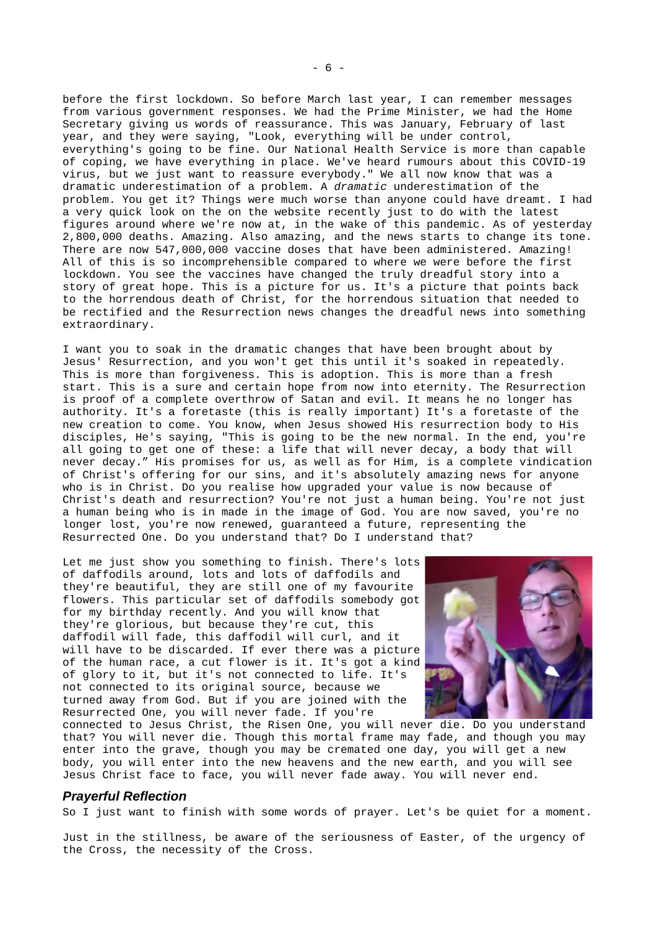before the first lockdown. So before March last year, I can remember messages from various government responses. We had the Prime Minister, we had the Home Secretary giving us words of reassurance. This was January, February of last year, and they were saying, "Look, everything will be under control, everything's going to be fine. Our National Health Service is more than capable of coping, we have everything in place. We've heard rumours about this COVID-19 virus, but we just want to reassure everybody." We all now know that was a dramatic underestimation of a problem. A *dramatic* underestimation of the problem. You get it? Things were much worse than anyone could have dreamt. I had a very quick look on the on the website recently just to do with the latest figures around where we're now at, in the wake of this pandemic. As of yesterday 2,800,000 deaths. Amazing. Also amazing, and the news starts to change its tone. There are now 547,000,000 vaccine doses that have been administered. Amazing! All of this is so incomprehensible compared to where we were before the first lockdown. You see the vaccines have changed the truly dreadful story into a story of great hope. This is a picture for us. It's a picture that points back to the horrendous death of Christ, for the horrendous situation that needed to be rectified and the Resurrection news changes the dreadful news into something extraordinary.

I want you to soak in the dramatic changes that have been brought about by Jesus' Resurrection, and you won't get this until it's soaked in repeatedly. This is more than forgiveness. This is adoption. This is more than a fresh start. This is a sure and certain hope from now into eternity. The Resurrection is proof of a complete overthrow of Satan and evil. It means he no longer has authority. It's a foretaste (this is really important) It's a foretaste of the new creation to come. You know, when Jesus showed His resurrection body to His disciples, He's saying, "This is going to be the new normal. In the end, you're all going to get one of these: a life that will never decay, a body that will never decay." His promises for us, as well as for Him, is a complete vindication of Christ's offering for our sins, and it's absolutely amazing news for anyone who is in Christ. Do you realise how upgraded your value is now because of Christ's death and resurrection? You're not just a human being. You're not just a human being who is in made in the image of God. You are now saved, you're no longer lost, you're now renewed, guaranteed a future, representing the Resurrected One. Do you understand that? Do I understand that?

Let me just show you something to finish. There's lots of daffodils around, lots and lots of daffodils and they're beautiful, they are still one of my favourite flowers. This particular set of daffodils somebody got for my birthday recently. And you will know that they're glorious, but because they're cut, this daffodil will fade, this daffodil will curl, and it will have to be discarded. If ever there was a picture of the human race, a cut flower is it. It's got a kind of glory to it, but it's not connected to life. It's not connected to its original source, because we turned away from God. But if you are joined with the Resurrected One, you will never fade. If you're



connected to Jesus Christ, the Risen One, you will never die. Do you understand that? You will never die. Though this mortal frame may fade, and though you may enter into the grave, though you may be cremated one day, you will get a new body, you will enter into the new heavens and the new earth, and you will see Jesus Christ face to face, you will never fade away. You will never end.

#### *Prayerful Reflection*

So I just want to finish with some words of prayer. Let's be quiet for a moment.

Just in the stillness, be aware of the seriousness of Easter, of the urgency of the Cross, the necessity of the Cross.